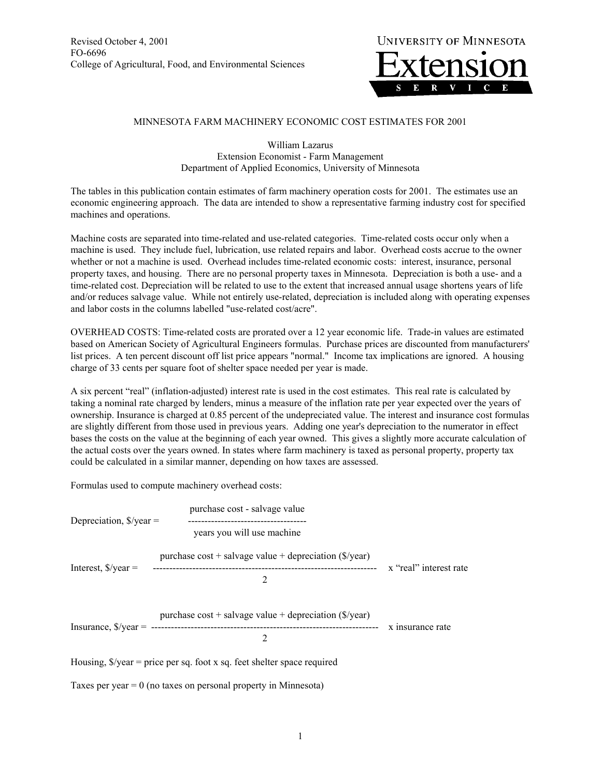

## MINNESOTA FARM MACHINERY ECONOMIC COST ESTIMATES FOR 2001

William Lazarus Extension Economist - Farm Management Department of Applied Economics, University of Minnesota

The tables in this publication contain estimates of farm machinery operation costs for 2001. The estimates use an economic engineering approach. The data are intended to show a representative farming industry cost for specified machines and operations.

Machine costs are separated into time-related and use-related categories. Time-related costs occur only when a machine is used. They include fuel, lubrication, use related repairs and labor. Overhead costs accrue to the owner whether or not a machine is used. Overhead includes time-related economic costs: interest, insurance, personal property taxes, and housing. There are no personal property taxes in Minnesota. Depreciation is both a use- and a time-related cost. Depreciation will be related to use to the extent that increased annual usage shortens years of life and/or reduces salvage value. While not entirely use-related, depreciation is included along with operating expenses and labor costs in the columns labelled "use-related cost/acre".

OVERHEAD COSTS: Time-related costs are prorated over a 12 year economic life. Trade-in values are estimated based on American Society of Agricultural Engineers formulas. Purchase prices are discounted from manufacturers' list prices. A ten percent discount off list price appears "normal." Income tax implications are ignored. A housing charge of 33 cents per square foot of shelter space needed per year is made.

A six percent "real" (inflation-adjusted) interest rate is used in the cost estimates. This real rate is calculated by taking a nominal rate charged by lenders, minus a measure of the inflation rate per year expected over the years of ownership. Insurance is charged at 0.85 percent of the undepreciated value. The interest and insurance cost formulas are slightly different from those used in previous years. Adding one year's depreciation to the numerator in effect bases the costs on the value at the beginning of each year owned. This gives a slightly more accurate calculation of the actual costs over the years owned. In states where farm machinery is taxed as personal property, property tax could be calculated in a similar manner, depending on how taxes are assessed.

Formulas used to compute machinery overhead costs:

|                                                 | purchase cost - salvage value                                      |                        |
|-------------------------------------------------|--------------------------------------------------------------------|------------------------|
| Depreciation, $\sqrt{s}}/year =$                | years you will use machine                                         |                        |
|                                                 | purchase $cost +$ salvage value + depreciation ( $\sqrt{s}$ /year) |                        |
| Interest, $\frac{9}{2}$ year =                  | 2                                                                  | x "real" interest rate |
| Insurance, $\frac{\sqrt{2}}{2}$ /year = ------- | purchase $cost +$ salvage value + depreciation ( $\sqrt{s}$ /year) | x insurance rate       |
|                                                 | $\mathfrak{D}$                                                     |                        |
| $T$ $T$ $T$ $T$ $T$ $T$ $T$ $T$ $T$             |                                                                    |                        |

Housing,  $\frac{6}{x}$  = price per sq. foot x sq. feet shelter space required

Taxes per year  $= 0$  (no taxes on personal property in Minnesota)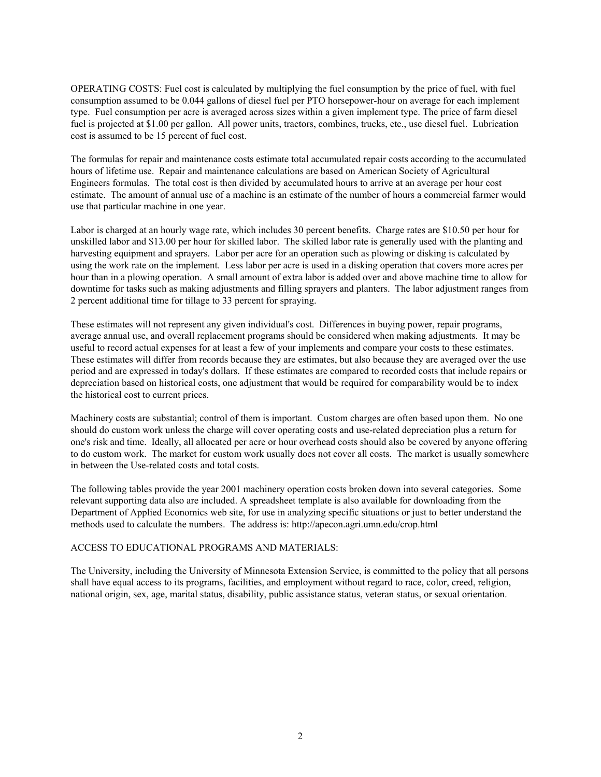OPERATING COSTS: Fuel cost is calculated by multiplying the fuel consumption by the price of fuel, with fuel consumption assumed to be 0.044 gallons of diesel fuel per PTO horsepower-hour on average for each implement type. Fuel consumption per acre is averaged across sizes within a given implement type. The price of farm diesel fuel is projected at \$1.00 per gallon. All power units, tractors, combines, trucks, etc., use diesel fuel. Lubrication cost is assumed to be 15 percent of fuel cost.

The formulas for repair and maintenance costs estimate total accumulated repair costs according to the accumulated hours of lifetime use. Repair and maintenance calculations are based on American Society of Agricultural Engineers formulas. The total cost is then divided by accumulated hours to arrive at an average per hour cost estimate. The amount of annual use of a machine is an estimate of the number of hours a commercial farmer would use that particular machine in one year.

Labor is charged at an hourly wage rate, which includes 30 percent benefits. Charge rates are \$10.50 per hour for unskilled labor and \$13.00 per hour for skilled labor. The skilled labor rate is generally used with the planting and harvesting equipment and sprayers. Labor per acre for an operation such as plowing or disking is calculated by using the work rate on the implement. Less labor per acre is used in a disking operation that covers more acres per hour than in a plowing operation. A small amount of extra labor is added over and above machine time to allow for downtime for tasks such as making adjustments and filling sprayers and planters. The labor adjustment ranges from 2 percent additional time for tillage to 33 percent for spraying.

These estimates will not represent any given individual's cost. Differences in buying power, repair programs, average annual use, and overall replacement programs should be considered when making adjustments. It may be useful to record actual expenses for at least a few of your implements and compare your costs to these estimates. These estimates will differ from records because they are estimates, but also because they are averaged over the use period and are expressed in today's dollars. If these estimates are compared to recorded costs that include repairs or depreciation based on historical costs, one adjustment that would be required for comparability would be to index the historical cost to current prices.

Machinery costs are substantial; control of them is important. Custom charges are often based upon them. No one should do custom work unless the charge will cover operating costs and use-related depreciation plus a return for one's risk and time. Ideally, all allocated per acre or hour overhead costs should also be covered by anyone offering to do custom work. The market for custom work usually does not cover all costs. The market is usually somewhere in between the Use-related costs and total costs.

The following tables provide the year 2001 machinery operation costs broken down into several categories. Some relevant supporting data also are included. A spreadsheet template is also available for downloading from the Department of Applied Economics web site, for use in analyzing specific situations or just to better understand the methods used to calculate the numbers. The address is: http://apecon.agri.umn.edu/crop.html

## ACCESS TO EDUCATIONAL PROGRAMS AND MATERIALS:

The University, including the University of Minnesota Extension Service, is committed to the policy that all persons shall have equal access to its programs, facilities, and employment without regard to race, color, creed, religion, national origin, sex, age, marital status, disability, public assistance status, veteran status, or sexual orientation.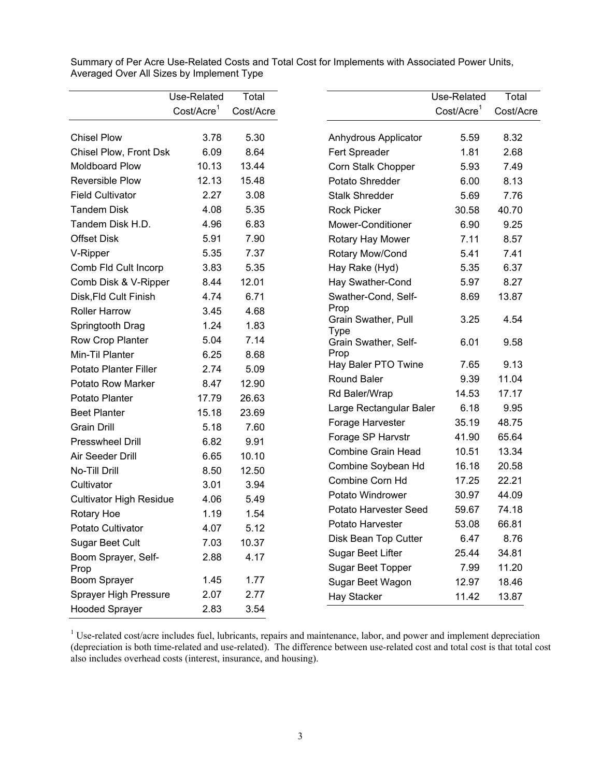|                                | Use-Related            | Total     |                                    | Use-Related             | Total     |
|--------------------------------|------------------------|-----------|------------------------------------|-------------------------|-----------|
|                                | Cost/Acre <sup>1</sup> | Cost/Acre |                                    | Cost/Accre <sup>1</sup> | Cost/Acre |
|                                |                        |           |                                    |                         |           |
| <b>Chisel Plow</b>             | 3.78                   | 5.30      | Anhydrous Applicator               | 5.59                    | 8.32      |
| Chisel Plow, Front Dsk         | 6.09                   | 8.64      | Fert Spreader                      | 1.81                    | 2.68      |
| Moldboard Plow                 | 10.13                  | 13.44     | Corn Stalk Chopper                 | 5.93                    | 7.49      |
| <b>Reversible Plow</b>         | 12.13                  | 15.48     | Potato Shredder                    | 6.00                    | 8.13      |
| <b>Field Cultivator</b>        | 2.27                   | 3.08      | <b>Stalk Shredder</b>              | 5.69                    | 7.76      |
| <b>Tandem Disk</b>             | 4.08                   | 5.35      | <b>Rock Picker</b>                 | 30.58                   | 40.70     |
| Tandem Disk H.D.               | 4.96                   | 6.83      | Mower-Conditioner                  | 6.90                    | 9.25      |
| <b>Offset Disk</b>             | 5.91                   | 7.90      | Rotary Hay Mower                   | 7.11                    | 8.57      |
| V-Ripper                       | 5.35                   | 7.37      | Rotary Mow/Cond                    | 5.41                    | 7.41      |
| Comb Fld Cult Incorp           | 3.83                   | 5.35      | Hay Rake (Hyd)                     | 5.35                    | 6.37      |
| Comb Disk & V-Ripper           | 8.44                   | 12.01     | Hay Swather-Cond                   | 5.97                    | 8.27      |
| Disk, Fld Cult Finish          | 4.74                   | 6.71      | Swather-Cond, Self-                | 8.69                    | 13.87     |
| Roller Harrow                  | 3.45                   | 4.68      | Prop                               |                         |           |
| Springtooth Drag               | 1.24                   | 1.83      | Grain Swather, Pull<br><b>Type</b> | 3.25                    | 4.54      |
| Row Crop Planter               | 5.04                   | 7.14      | Grain Swather, Self-               | 6.01                    | 9.58      |
| Min-Til Planter                | 6.25                   | 8.68      | Prop                               |                         |           |
| <b>Potato Planter Filler</b>   | 2.74                   | 5.09      | Hay Baler PTO Twine                | 7.65                    | 9.13      |
| <b>Potato Row Marker</b>       | 8.47                   | 12.90     | <b>Round Baler</b>                 | 9.39                    | 11.04     |
| Potato Planter                 | 17.79                  | 26.63     | Rd Baler/Wrap                      | 14.53                   | 17.17     |
| <b>Beet Planter</b>            | 15.18                  | 23.69     | Large Rectangular Baler            | 6.18                    | 9.95      |
| <b>Grain Drill</b>             | 5.18                   | 7.60      | Forage Harvester                   | 35.19                   | 48.75     |
| <b>Presswheel Drill</b>        | 6.82                   | 9.91      | Forage SP Harvstr                  | 41.90                   | 65.64     |
| Air Seeder Drill               | 6.65                   | 10.10     | <b>Combine Grain Head</b>          | 10.51                   | 13.34     |
| No-Till Drill                  | 8.50                   | 12.50     | Combine Soybean Hd                 | 16.18                   | 20.58     |
| Cultivator                     | 3.01                   | 3.94      | Combine Corn Hd                    | 17.25                   | 22.21     |
| <b>Cultivator High Residue</b> | 4.06                   | 5.49      | Potato Windrower                   | 30.97                   | 44.09     |
| Rotary Hoe                     | 1.19                   | 1.54      | Potato Harvester Seed              | 59.67                   | 74.18     |
| Potato Cultivator              | 4.07                   | 5.12      | Potato Harvester                   | 53.08                   | 66.81     |
| Sugar Beet Cult                | 7.03                   | 10.37     | Disk Bean Top Cutter               | 6.47                    | 8.76      |
| Boom Sprayer, Self-            | 2.88                   | 4.17      | Sugar Beet Lifter                  | 25.44                   | 34.81     |
| Prop                           |                        |           | Sugar Beet Topper                  | 7.99                    | 11.20     |
| Boom Sprayer                   | 1.45                   | 1.77      | Sugar Beet Wagon                   | 12.97                   | 18.46     |
| Sprayer High Pressure          | 2.07                   | 2.77      | Hay Stacker                        | 11.42                   | 13.87     |
| <b>Hooded Sprayer</b>          | 2.83                   | 3.54      |                                    |                         |           |

Summary of Per Acre Use-Related Costs and Total Cost for Implements with Associated Power Units, Averaged Over All Sizes by Implement Type

<sup>1</sup> Use-related cost/acre includes fuel, lubricants, repairs and maintenance, labor, and power and implement depreciation (depreciation is both time-related and use-related). The difference between use-related cost and total cost is that total cost also includes overhead costs (interest, insurance, and housing).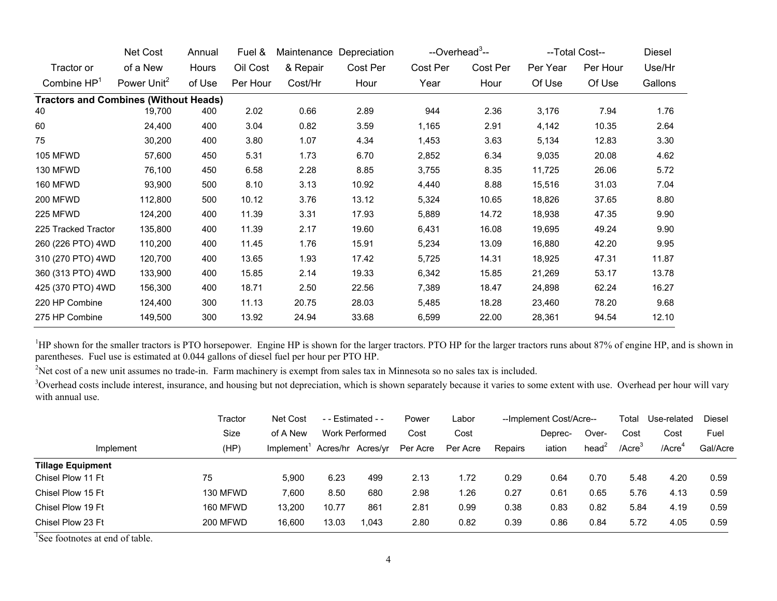|                                              | Net Cost                | Annual | Fuel &   | Maintenance | Depreciation | --Overhead <sup>3</sup> -- |          |          | --Total Cost-- | Diesel  |
|----------------------------------------------|-------------------------|--------|----------|-------------|--------------|----------------------------|----------|----------|----------------|---------|
| Tractor or                                   | of a New                | Hours  | Oil Cost | & Repair    | Cost Per     | Cost Per                   | Cost Per | Per Year | Per Hour       | Use/Hr  |
| Combine $HP1$                                | Power Unit <sup>2</sup> | of Use | Per Hour | Cost/Hr     | Hour         | Year                       | Hour     | Of Use   | Of Use         | Gallons |
| <b>Tractors and Combines (Without Heads)</b> |                         |        |          |             |              |                            |          |          |                |         |
| 40                                           | 19,700                  | 400    | 2.02     | 0.66        | 2.89         | 944                        | 2.36     | 3,176    | 7.94           | 1.76    |
| 60                                           | 24,400                  | 400    | 3.04     | 0.82        | 3.59         | 1,165                      | 2.91     | 4,142    | 10.35          | 2.64    |
| 75                                           | 30,200                  | 400    | 3.80     | 1.07        | 4.34         | 1,453                      | 3.63     | 5,134    | 12.83          | 3.30    |
| <b>105 MFWD</b>                              | 57,600                  | 450    | 5.31     | 1.73        | 6.70         | 2,852                      | 6.34     | 9,035    | 20.08          | 4.62    |
| 130 MFWD                                     | 76,100                  | 450    | 6.58     | 2.28        | 8.85         | 3,755                      | 8.35     | 11,725   | 26.06          | 5.72    |
| 160 MFWD                                     | 93,900                  | 500    | 8.10     | 3.13        | 10.92        | 4,440                      | 8.88     | 15,516   | 31.03          | 7.04    |
| <b>200 MFWD</b>                              | 112,800                 | 500    | 10.12    | 3.76        | 13.12        | 5,324                      | 10.65    | 18,826   | 37.65          | 8.80    |
| 225 MFWD                                     | 124,200                 | 400    | 11.39    | 3.31        | 17.93        | 5,889                      | 14.72    | 18,938   | 47.35          | 9.90    |
| 225 Tracked Tractor                          | 135,800                 | 400    | 11.39    | 2.17        | 19.60        | 6,431                      | 16.08    | 19,695   | 49.24          | 9.90    |
| 260 (226 PTO) 4WD                            | 110,200                 | 400    | 11.45    | 1.76        | 15.91        | 5,234                      | 13.09    | 16,880   | 42.20          | 9.95    |
| 310 (270 PTO) 4WD                            | 120,700                 | 400    | 13.65    | 1.93        | 17.42        | 5,725                      | 14.31    | 18,925   | 47.31          | 11.87   |
| 360 (313 PTO) 4WD                            | 133,900                 | 400    | 15.85    | 2.14        | 19.33        | 6,342                      | 15.85    | 21,269   | 53.17          | 13.78   |
| 425 (370 PTO) 4WD                            | 156,300                 | 400    | 18.71    | 2.50        | 22.56        | 7,389                      | 18.47    | 24,898   | 62.24          | 16.27   |
| 220 HP Combine                               | 124,400                 | 300    | 11.13    | 20.75       | 28.03        | 5,485                      | 18.28    | 23,460   | 78.20          | 9.68    |
| 275 HP Combine                               | 149,500                 | 300    | 13.92    | 24.94       | 33.68        | 6,599                      | 22.00    | 28,361   | 94.54          | 12.10   |

<sup>1</sup>HP shown for the smaller tractors is PTO horsepower. Engine HP is shown for the larger tractors. PTO HP for the larger tractors runs about 87% of engine HP, and is shown in parentheses. Fuel use is estimated at 0.044 gallons of diesel fuel per hour per PTO HP.

<sup>2</sup>Net cost of a new unit assumes no trade-in. Farm machinery is exempt from sales tax in Minnesota so no sales tax is included.

<sup>3</sup>Overhead costs include interest, insurance, and housing but not depreciation, which is shown separately because it varies to some extent with use. Overhead per hour will vary with annual use.

|                          | Tractor         | Net Cost   |       | $-$ - Estimated $-$ | Power    | Labor    | --Implement Cost/Acre-- |         |                 | Total        | Use-related        | Diesel   |
|--------------------------|-----------------|------------|-------|---------------------|----------|----------|-------------------------|---------|-----------------|--------------|--------------------|----------|
|                          | Size            | of A New   |       | Work Performed      | Cost     | Cost     |                         | Deprec- | Over-           | Cost         | Cost               | Fuel     |
| Implement                | (HP)            | Implement' |       | Acres/hr Acres/yr   | Per Acre | Per Acre | Repairs                 | iation  | head $\epsilon$ | $/$ Acre $3$ | /Acre <sup>4</sup> | Gal/Acre |
| <b>Tillage Equipment</b> |                 |            |       |                     |          |          |                         |         |                 |              |                    |          |
| Chisel Plow 11 Ft        | 75              | 5.900      | 6.23  | 499                 | 2.13     | 1.72     | 0.29                    | 0.64    | 0.70            | 5.48         | 4.20               | 0.59     |
| Chisel Plow 15 Ft        | 130 MFWD        | 7.600      | 8.50  | 680                 | 2.98     | .26      | 0.27                    | 0.61    | 0.65            | 5.76         | 4.13               | 0.59     |
| Chisel Plow 19 Ft        | 160 MFWD        | 13.200     | 10.77 | 861                 | 2.81     | 0.99     | 0.38                    | 0.83    | 0.82            | 5.84         | 4.19               | 0.59     |
| Chisel Plow 23 Ft        | <b>200 MFWD</b> | 16,600     | 13.03 | 1.043               | 2.80     | 0.82     | 0.39                    | 0.86    | 0.84            | 5.72         | 4.05               | 0.59     |

<sup>1</sup>See footnotes at end of table.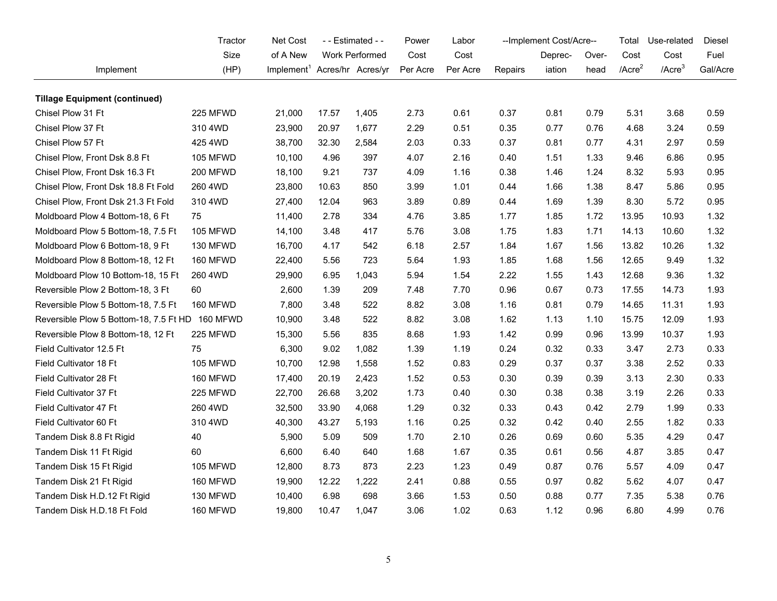|                                                 | Tractor         | Net Cost                                 | - - Estimated - - |                | Power    | Labor    | --Implement Cost/Acre-- |         |       | Total        | Use-related  | Diesel   |
|-------------------------------------------------|-----------------|------------------------------------------|-------------------|----------------|----------|----------|-------------------------|---------|-------|--------------|--------------|----------|
|                                                 | Size            | of A New                                 |                   | Work Performed | Cost     | Cost     |                         | Deprec- | Over- | Cost         | Cost         | Fuel     |
| Implement                                       | (HP)            | Implement <sup>1</sup> Acres/hr Acres/yr |                   |                | Per Acre | Per Acre | Repairs                 | iation  | head  | $/$ Acre $2$ | $/$ Acre $3$ | Gal/Acre |
| <b>Tillage Equipment (continued)</b>            |                 |                                          |                   |                |          |          |                         |         |       |              |              |          |
| Chisel Plow 31 Ft                               | 225 MFWD        | 21,000                                   | 17.57             | 1,405          | 2.73     | 0.61     | 0.37                    | 0.81    | 0.79  | 5.31         | 3.68         | 0.59     |
| Chisel Plow 37 Ft                               | 310 4WD         | 23,900                                   | 20.97             | 1,677          | 2.29     | 0.51     | 0.35                    | 0.77    | 0.76  | 4.68         | 3.24         | 0.59     |
| Chisel Plow 57 Ft                               | 425 4WD         | 38,700                                   | 32.30             | 2,584          | 2.03     | 0.33     | 0.37                    | 0.81    | 0.77  | 4.31         | 2.97         | 0.59     |
| Chisel Plow, Front Dsk 8.8 Ft                   | 105 MFWD        | 10,100                                   | 4.96              | 397            | 4.07     | 2.16     | 0.40                    | 1.51    | 1.33  | 9.46         | 6.86         | 0.95     |
| Chisel Plow, Front Dsk 16.3 Ft                  | 200 MFWD        | 18,100                                   | 9.21              | 737            | 4.09     | 1.16     | 0.38                    | 1.46    | 1.24  | 8.32         | 5.93         | 0.95     |
| Chisel Plow, Front Dsk 18.8 Ft Fold             | 260 4WD         | 23,800                                   | 10.63             | 850            | 3.99     | 1.01     | 0.44                    | 1.66    | 1.38  | 8.47         | 5.86         | 0.95     |
| Chisel Plow, Front Dsk 21.3 Ft Fold             | 310 4WD         | 27,400                                   | 12.04             | 963            | 3.89     | 0.89     | 0.44                    | 1.69    | 1.39  | 8.30         | 5.72         | 0.95     |
| Moldboard Plow 4 Bottom-18, 6 Ft                | 75              | 11,400                                   | 2.78              | 334            | 4.76     | 3.85     | 1.77                    | 1.85    | 1.72  | 13.95        | 10.93        | 1.32     |
| Moldboard Plow 5 Bottom-18, 7.5 Ft              | 105 MFWD        | 14,100                                   | 3.48              | 417            | 5.76     | 3.08     | 1.75                    | 1.83    | 1.71  | 14.13        | 10.60        | 1.32     |
| Moldboard Plow 6 Bottom-18, 9 Ft                | 130 MFWD        | 16,700                                   | 4.17              | 542            | 6.18     | 2.57     | 1.84                    | 1.67    | 1.56  | 13.82        | 10.26        | 1.32     |
| Moldboard Plow 8 Bottom-18, 12 Ft               | 160 MFWD        | 22,400                                   | 5.56              | 723            | 5.64     | 1.93     | 1.85                    | 1.68    | 1.56  | 12.65        | 9.49         | 1.32     |
| Moldboard Plow 10 Bottom-18, 15 Ft              | 260 4WD         | 29,900                                   | 6.95              | 1,043          | 5.94     | 1.54     | 2.22                    | 1.55    | 1.43  | 12.68        | 9.36         | 1.32     |
| Reversible Plow 2 Bottom-18, 3 Ft               | 60              | 2,600                                    | 1.39              | 209            | 7.48     | 7.70     | 0.96                    | 0.67    | 0.73  | 17.55        | 14.73        | 1.93     |
| Reversible Plow 5 Bottom-18, 7.5 Ft             | 160 MFWD        | 7,800                                    | 3.48              | 522            | 8.82     | 3.08     | 1.16                    | 0.81    | 0.79  | 14.65        | 11.31        | 1.93     |
| Reversible Plow 5 Bottom-18, 7.5 Ft HD 160 MFWD |                 | 10,900                                   | 3.48              | 522            | 8.82     | 3.08     | 1.62                    | 1.13    | 1.10  | 15.75        | 12.09        | 1.93     |
| Reversible Plow 8 Bottom-18, 12 Ft              | 225 MFWD        | 15,300                                   | 5.56              | 835            | 8.68     | 1.93     | 1.42                    | 0.99    | 0.96  | 13.99        | 10.37        | 1.93     |
| Field Cultivator 12.5 Ft                        | 75              | 6,300                                    | 9.02              | 1,082          | 1.39     | 1.19     | 0.24                    | 0.32    | 0.33  | 3.47         | 2.73         | 0.33     |
| Field Cultivator 18 Ft                          | <b>105 MFWD</b> | 10,700                                   | 12.98             | 1,558          | 1.52     | 0.83     | 0.29                    | 0.37    | 0.37  | 3.38         | 2.52         | 0.33     |
| Field Cultivator 28 Ft                          | 160 MFWD        | 17,400                                   | 20.19             | 2,423          | 1.52     | 0.53     | 0.30                    | 0.39    | 0.39  | 3.13         | 2.30         | 0.33     |
| Field Cultivator 37 Ft                          | 225 MFWD        | 22,700                                   | 26.68             | 3,202          | 1.73     | 0.40     | 0.30                    | 0.38    | 0.38  | 3.19         | 2.26         | 0.33     |
| Field Cultivator 47 Ft                          | 260 4WD         | 32,500                                   | 33.90             | 4,068          | 1.29     | 0.32     | 0.33                    | 0.43    | 0.42  | 2.79         | 1.99         | 0.33     |
| Field Cultivator 60 Ft                          | 310 4WD         | 40,300                                   | 43.27             | 5,193          | 1.16     | 0.25     | 0.32                    | 0.42    | 0.40  | 2.55         | 1.82         | 0.33     |
| Tandem Disk 8.8 Ft Rigid                        | 40              | 5,900                                    | 5.09              | 509            | 1.70     | 2.10     | 0.26                    | 0.69    | 0.60  | 5.35         | 4.29         | 0.47     |
| Tandem Disk 11 Ft Rigid                         | 60              | 6,600                                    | 6.40              | 640            | 1.68     | 1.67     | 0.35                    | 0.61    | 0.56  | 4.87         | 3.85         | 0.47     |
| Tandem Disk 15 Ft Rigid                         | 105 MFWD        | 12,800                                   | 8.73              | 873            | 2.23     | 1.23     | 0.49                    | 0.87    | 0.76  | 5.57         | 4.09         | 0.47     |
| Tandem Disk 21 Ft Rigid                         | 160 MFWD        | 19,900                                   | 12.22             | 1,222          | 2.41     | 0.88     | 0.55                    | 0.97    | 0.82  | 5.62         | 4.07         | 0.47     |
| Tandem Disk H.D.12 Ft Rigid                     | 130 MFWD        | 10,400                                   | 6.98              | 698            | 3.66     | 1.53     | 0.50                    | 0.88    | 0.77  | 7.35         | 5.38         | 0.76     |
| Tandem Disk H.D.18 Ft Fold                      | 160 MFWD        | 19,800                                   | 10.47             | 1,047          | 3.06     | 1.02     | 0.63                    | 1.12    | 0.96  | 6.80         | 4.99         | 0.76     |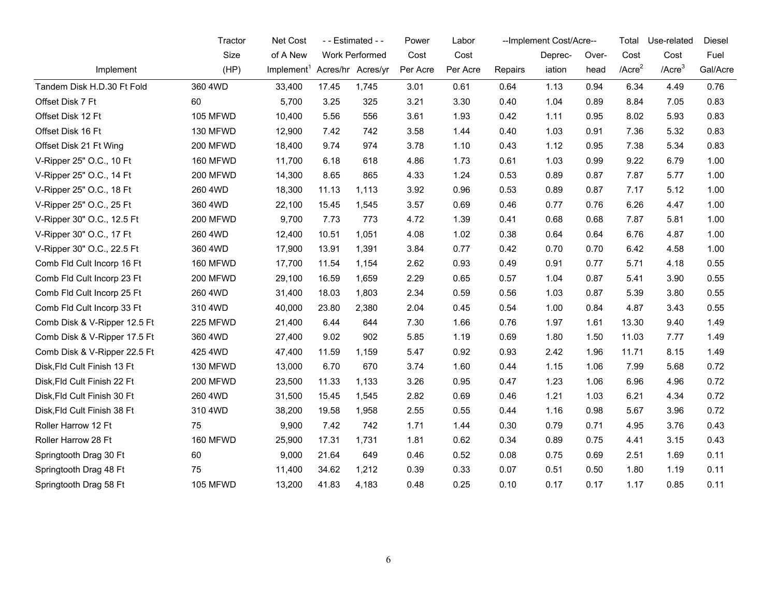|                              | Tractor         | Net Cost                                 |       | - - Estimated - - | Power    | Labor    |         | --Implement Cost/Acre-- |       | Total        | Use-related  | Diesel   |
|------------------------------|-----------------|------------------------------------------|-------|-------------------|----------|----------|---------|-------------------------|-------|--------------|--------------|----------|
|                              | Size            | of A New                                 |       | Work Performed    | Cost     | Cost     |         | Deprec-                 | Over- | Cost         | Cost         | Fuel     |
| Implement                    | (HP)            | Implement <sup>1</sup> Acres/hr Acres/yr |       |                   | Per Acre | Per Acre | Repairs | iation                  | head  | $/$ Acre $2$ | $/$ Acre $3$ | Gal/Acre |
| Tandem Disk H.D.30 Ft Fold   | 360 4WD         | 33,400                                   | 17.45 | 1,745             | 3.01     | 0.61     | 0.64    | 1.13                    | 0.94  | 6.34         | 4.49         | 0.76     |
| Offset Disk 7 Ft             | 60              | 5,700                                    | 3.25  | 325               | 3.21     | 3.30     | 0.40    | 1.04                    | 0.89  | 8.84         | 7.05         | 0.83     |
| Offset Disk 12 Ft            | 105 MFWD        | 10,400                                   | 5.56  | 556               | 3.61     | 1.93     | 0.42    | 1.11                    | 0.95  | 8.02         | 5.93         | 0.83     |
| Offset Disk 16 Ft            | 130 MFWD        | 12,900                                   | 7.42  | 742               | 3.58     | 1.44     | 0.40    | 1.03                    | 0.91  | 7.36         | 5.32         | 0.83     |
| Offset Disk 21 Ft Wing       | 200 MFWD        | 18,400                                   | 9.74  | 974               | 3.78     | 1.10     | 0.43    | 1.12                    | 0.95  | 7.38         | 5.34         | 0.83     |
| V-Ripper 25" O.C., 10 Ft     | 160 MFWD        | 11,700                                   | 6.18  | 618               | 4.86     | 1.73     | 0.61    | 1.03                    | 0.99  | 9.22         | 6.79         | 1.00     |
| V-Ripper 25" O.C., 14 Ft     | 200 MFWD        | 14,300                                   | 8.65  | 865               | 4.33     | 1.24     | 0.53    | 0.89                    | 0.87  | 7.87         | 5.77         | 1.00     |
| V-Ripper 25" O.C., 18 Ft     | 260 4WD         | 18,300                                   | 11.13 | 1,113             | 3.92     | 0.96     | 0.53    | 0.89                    | 0.87  | 7.17         | 5.12         | 1.00     |
| V-Ripper 25" O.C., 25 Ft     | 360 4WD         | 22,100                                   | 15.45 | 1,545             | 3.57     | 0.69     | 0.46    | 0.77                    | 0.76  | 6.26         | 4.47         | 1.00     |
| V-Ripper 30" O.C., 12.5 Ft   | 200 MFWD        | 9,700                                    | 7.73  | 773               | 4.72     | 1.39     | 0.41    | 0.68                    | 0.68  | 7.87         | 5.81         | 1.00     |
| V-Ripper 30" O.C., 17 Ft     | 260 4WD         | 12,400                                   | 10.51 | 1,051             | 4.08     | 1.02     | 0.38    | 0.64                    | 0.64  | 6.76         | 4.87         | 1.00     |
| V-Ripper 30" O.C., 22.5 Ft   | 360 4WD         | 17,900                                   | 13.91 | 1,391             | 3.84     | 0.77     | 0.42    | 0.70                    | 0.70  | 6.42         | 4.58         | 1.00     |
| Comb Fld Cult Incorp 16 Ft   | 160 MFWD        | 17,700                                   | 11.54 | 1,154             | 2.62     | 0.93     | 0.49    | 0.91                    | 0.77  | 5.71         | 4.18         | 0.55     |
| Comb Fld Cult Incorp 23 Ft   | 200 MFWD        | 29,100                                   | 16.59 | 1,659             | 2.29     | 0.65     | 0.57    | 1.04                    | 0.87  | 5.41         | 3.90         | 0.55     |
| Comb Fld Cult Incorp 25 Ft   | 260 4WD         | 31,400                                   | 18.03 | 1,803             | 2.34     | 0.59     | 0.56    | 1.03                    | 0.87  | 5.39         | 3.80         | 0.55     |
| Comb Fld Cult Incorp 33 Ft   | 310 4WD         | 40,000                                   | 23.80 | 2,380             | 2.04     | 0.45     | 0.54    | 1.00                    | 0.84  | 4.87         | 3.43         | 0.55     |
| Comb Disk & V-Ripper 12.5 Ft | 225 MFWD        | 21,400                                   | 6.44  | 644               | 7.30     | 1.66     | 0.76    | 1.97                    | 1.61  | 13.30        | 9.40         | 1.49     |
| Comb Disk & V-Ripper 17.5 Ft | 360 4WD         | 27,400                                   | 9.02  | 902               | 5.85     | 1.19     | 0.69    | 1.80                    | 1.50  | 11.03        | 7.77         | 1.49     |
| Comb Disk & V-Ripper 22.5 Ft | 425 4WD         | 47,400                                   | 11.59 | 1,159             | 5.47     | 0.92     | 0.93    | 2.42                    | 1.96  | 11.71        | 8.15         | 1.49     |
| Disk, Fld Cult Finish 13 Ft  | 130 MFWD        | 13,000                                   | 6.70  | 670               | 3.74     | 1.60     | 0.44    | 1.15                    | 1.06  | 7.99         | 5.68         | 0.72     |
| Disk, Fld Cult Finish 22 Ft  | 200 MFWD        | 23,500                                   | 11.33 | 1,133             | 3.26     | 0.95     | 0.47    | 1.23                    | 1.06  | 6.96         | 4.96         | 0.72     |
| Disk, Fld Cult Finish 30 Ft  | 260 4WD         | 31,500                                   | 15.45 | 1,545             | 2.82     | 0.69     | 0.46    | 1.21                    | 1.03  | 6.21         | 4.34         | 0.72     |
| Disk, Fld Cult Finish 38 Ft  | 310 4WD         | 38,200                                   | 19.58 | 1,958             | 2.55     | 0.55     | 0.44    | 1.16                    | 0.98  | 5.67         | 3.96         | 0.72     |
| Roller Harrow 12 Ft          | 75              | 9,900                                    | 7.42  | 742               | 1.71     | 1.44     | 0.30    | 0.79                    | 0.71  | 4.95         | 3.76         | 0.43     |
| Roller Harrow 28 Ft          | 160 MFWD        | 25,900                                   | 17.31 | 1,731             | 1.81     | 0.62     | 0.34    | 0.89                    | 0.75  | 4.41         | 3.15         | 0.43     |
| Springtooth Drag 30 Ft       | 60              | 9,000                                    | 21.64 | 649               | 0.46     | 0.52     | 0.08    | 0.75                    | 0.69  | 2.51         | 1.69         | 0.11     |
| Springtooth Drag 48 Ft       | 75              | 11,400                                   | 34.62 | 1,212             | 0.39     | 0.33     | 0.07    | 0.51                    | 0.50  | 1.80         | 1.19         | 0.11     |
| Springtooth Drag 58 Ft       | <b>105 MFWD</b> | 13,200                                   | 41.83 | 4,183             | 0.48     | 0.25     | 0.10    | 0.17                    | 0.17  | 1.17         | 0.85         | 0.11     |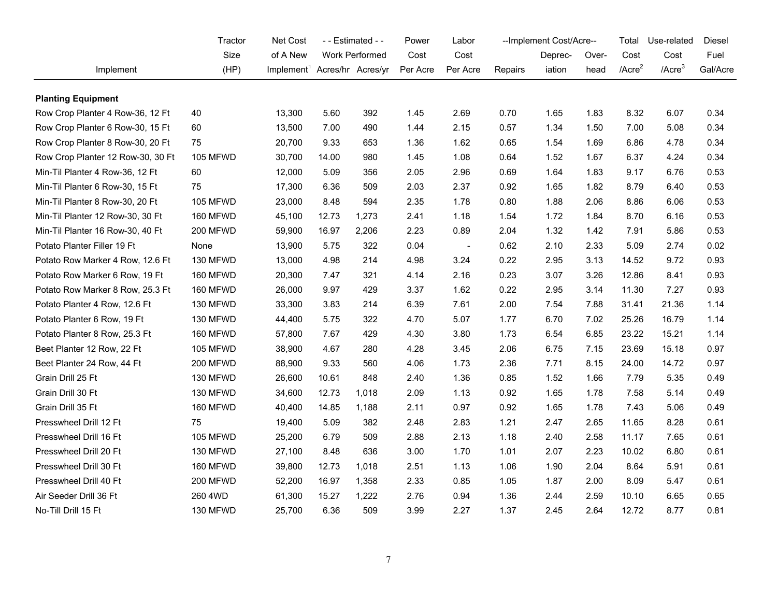|                                   | Tractor         | Net Cost                                 | - - Estimated - - |                | Power    | Labor          |         | --Implement Cost/Acre-- |       | Total        | Use-related  | Diesel   |
|-----------------------------------|-----------------|------------------------------------------|-------------------|----------------|----------|----------------|---------|-------------------------|-------|--------------|--------------|----------|
|                                   | Size            | of A New                                 |                   | Work Performed | Cost     | Cost           |         | Deprec-                 | Over- | Cost         | Cost         | Fuel     |
| Implement                         | (HP)            | Implement <sup>1</sup> Acres/hr Acres/yr |                   |                | Per Acre | Per Acre       | Repairs | iation                  | head  | $/$ Acre $2$ | $/$ Acre $3$ | Gal/Acre |
| <b>Planting Equipment</b>         |                 |                                          |                   |                |          |                |         |                         |       |              |              |          |
| Row Crop Planter 4 Row-36, 12 Ft  | 40              | 13,300                                   | 5.60              | 392            | 1.45     | 2.69           | 0.70    | 1.65                    | 1.83  | 8.32         | 6.07         | 0.34     |
| Row Crop Planter 6 Row-30, 15 Ft  | 60              | 13,500                                   | 7.00              | 490            | 1.44     | 2.15           | 0.57    | 1.34                    | 1.50  | 7.00         | 5.08         | 0.34     |
| Row Crop Planter 8 Row-30, 20 Ft  | 75              | 20,700                                   | 9.33              | 653            | 1.36     | 1.62           | 0.65    | 1.54                    | 1.69  | 6.86         | 4.78         | 0.34     |
| Row Crop Planter 12 Row-30, 30 Ft | 105 MFWD        | 30,700                                   | 14.00             | 980            | 1.45     | 1.08           | 0.64    | 1.52                    | 1.67  | 6.37         | 4.24         | 0.34     |
| Min-Til Planter 4 Row-36, 12 Ft   | 60              | 12,000                                   | 5.09              | 356            | 2.05     | 2.96           | 0.69    | 1.64                    | 1.83  | 9.17         | 6.76         | 0.53     |
| Min-Til Planter 6 Row-30, 15 Ft   | 75              | 17,300                                   | 6.36              | 509            | 2.03     | 2.37           | 0.92    | 1.65                    | 1.82  | 8.79         | 6.40         | 0.53     |
| Min-Til Planter 8 Row-30, 20 Ft   | 105 MFWD        | 23,000                                   | 8.48              | 594            | 2.35     | 1.78           | 0.80    | 1.88                    | 2.06  | 8.86         | 6.06         | 0.53     |
| Min-Til Planter 12 Row-30, 30 Ft  | 160 MFWD        | 45,100                                   | 12.73             | 1,273          | 2.41     | 1.18           | 1.54    | 1.72                    | 1.84  | 8.70         | 6.16         | 0.53     |
| Min-Til Planter 16 Row-30, 40 Ft  | 200 MFWD        | 59,900                                   | 16.97             | 2,206          | 2.23     | 0.89           | 2.04    | 1.32                    | 1.42  | 7.91         | 5.86         | 0.53     |
| Potato Planter Filler 19 Ft       | None            | 13,900                                   | 5.75              | 322            | 0.04     | $\blacksquare$ | 0.62    | 2.10                    | 2.33  | 5.09         | 2.74         | 0.02     |
| Potato Row Marker 4 Row, 12.6 Ft  | 130 MFWD        | 13,000                                   | 4.98              | 214            | 4.98     | 3.24           | 0.22    | 2.95                    | 3.13  | 14.52        | 9.72         | 0.93     |
| Potato Row Marker 6 Row, 19 Ft    | 160 MFWD        | 20,300                                   | 7.47              | 321            | 4.14     | 2.16           | 0.23    | 3.07                    | 3.26  | 12.86        | 8.41         | 0.93     |
| Potato Row Marker 8 Row, 25.3 Ft  | 160 MFWD        | 26,000                                   | 9.97              | 429            | 3.37     | 1.62           | 0.22    | 2.95                    | 3.14  | 11.30        | 7.27         | 0.93     |
| Potato Planter 4 Row, 12.6 Ft     | 130 MFWD        | 33,300                                   | 3.83              | 214            | 6.39     | 7.61           | 2.00    | 7.54                    | 7.88  | 31.41        | 21.36        | 1.14     |
| Potato Planter 6 Row, 19 Ft       | 130 MFWD        | 44,400                                   | 5.75              | 322            | 4.70     | 5.07           | 1.77    | 6.70                    | 7.02  | 25.26        | 16.79        | 1.14     |
| Potato Planter 8 Row, 25.3 Ft     | 160 MFWD        | 57,800                                   | 7.67              | 429            | 4.30     | 3.80           | 1.73    | 6.54                    | 6.85  | 23.22        | 15.21        | 1.14     |
| Beet Planter 12 Row, 22 Ft        | 105 MFWD        | 38,900                                   | 4.67              | 280            | 4.28     | 3.45           | 2.06    | 6.75                    | 7.15  | 23.69        | 15.18        | 0.97     |
| Beet Planter 24 Row, 44 Ft        | <b>200 MFWD</b> | 88,900                                   | 9.33              | 560            | 4.06     | 1.73           | 2.36    | 7.71                    | 8.15  | 24.00        | 14.72        | 0.97     |
| Grain Drill 25 Ft                 | 130 MFWD        | 26,600                                   | 10.61             | 848            | 2.40     | 1.36           | 0.85    | 1.52                    | 1.66  | 7.79         | 5.35         | 0.49     |
| Grain Drill 30 Ft                 | 130 MFWD        | 34,600                                   | 12.73             | 1,018          | 2.09     | 1.13           | 0.92    | 1.65                    | 1.78  | 7.58         | 5.14         | 0.49     |
| Grain Drill 35 Ft                 | 160 MFWD        | 40,400                                   | 14.85             | 1,188          | 2.11     | 0.97           | 0.92    | 1.65                    | 1.78  | 7.43         | 5.06         | 0.49     |
| Presswheel Drill 12 Ft            | 75              | 19,400                                   | 5.09              | 382            | 2.48     | 2.83           | 1.21    | 2.47                    | 2.65  | 11.65        | 8.28         | 0.61     |
| Presswheel Drill 16 Ft            | 105 MFWD        | 25,200                                   | 6.79              | 509            | 2.88     | 2.13           | 1.18    | 2.40                    | 2.58  | 11.17        | 7.65         | 0.61     |
| Presswheel Drill 20 Ft            | 130 MFWD        | 27,100                                   | 8.48              | 636            | 3.00     | 1.70           | 1.01    | 2.07                    | 2.23  | 10.02        | 6.80         | 0.61     |
| Presswheel Drill 30 Ft            | <b>160 MFWD</b> | 39,800                                   | 12.73             | 1,018          | 2.51     | 1.13           | 1.06    | 1.90                    | 2.04  | 8.64         | 5.91         | 0.61     |
| Presswheel Drill 40 Ft            | 200 MFWD        | 52,200                                   | 16.97             | 1,358          | 2.33     | 0.85           | 1.05    | 1.87                    | 2.00  | 8.09         | 5.47         | 0.61     |
| Air Seeder Drill 36 Ft            | 260 4WD         | 61,300                                   | 15.27             | 1,222          | 2.76     | 0.94           | 1.36    | 2.44                    | 2.59  | 10.10        | 6.65         | 0.65     |
| No-Till Drill 15 Ft               | 130 MFWD        | 25,700                                   | 6.36              | 509            | 3.99     | 2.27           | 1.37    | 2.45                    | 2.64  | 12.72        | 8.77         | 0.81     |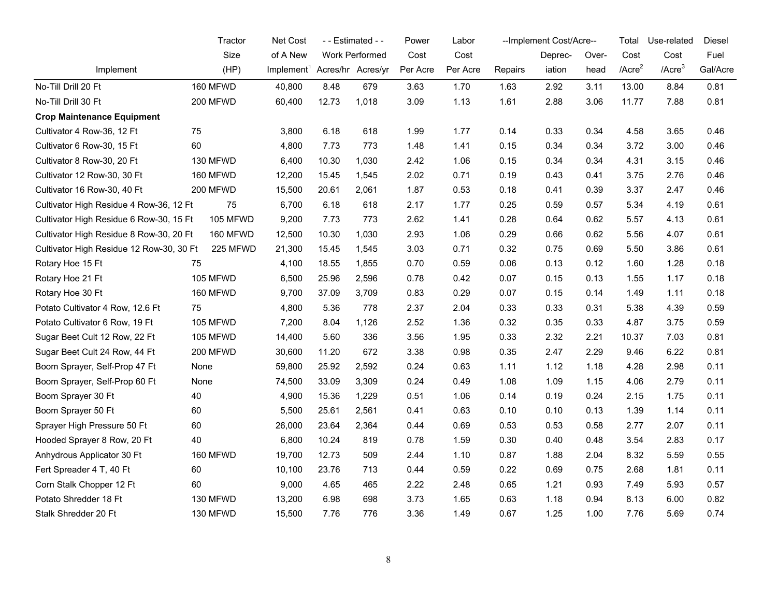|                                          | Tractor  | Net Cost<br>- - Estimated - -            |       | Power          | Labor    |          | --Implement Cost/Acre-- |         | Total | Use-related  | Diesel       |          |
|------------------------------------------|----------|------------------------------------------|-------|----------------|----------|----------|-------------------------|---------|-------|--------------|--------------|----------|
|                                          | Size     | of A New                                 |       | Work Performed | Cost     | Cost     |                         | Deprec- | Over- | Cost         | Cost         | Fuel     |
| Implement                                | (HP)     | Implement <sup>1</sup> Acres/hr Acres/yr |       |                | Per Acre | Per Acre | Repairs                 | iation  | head  | $/$ Acre $2$ | $/$ Acre $3$ | Gal/Acre |
| No-Till Drill 20 Ft                      | 160 MFWD | 40,800                                   | 8.48  | 679            | 3.63     | 1.70     | 1.63                    | 2.92    | 3.11  | 13.00        | 8.84         | 0.81     |
| No-Till Drill 30 Ft                      | 200 MFWD | 60,400                                   | 12.73 | 1,018          | 3.09     | 1.13     | 1.61                    | 2.88    | 3.06  | 11.77        | 7.88         | 0.81     |
| <b>Crop Maintenance Equipment</b>        |          |                                          |       |                |          |          |                         |         |       |              |              |          |
| Cultivator 4 Row-36, 12 Ft               | 75       | 3,800                                    | 6.18  | 618            | 1.99     | 1.77     | 0.14                    | 0.33    | 0.34  | 4.58         | 3.65         | 0.46     |
| Cultivator 6 Row-30, 15 Ft               | 60       | 4,800                                    | 7.73  | 773            | 1.48     | 1.41     | 0.15                    | 0.34    | 0.34  | 3.72         | 3.00         | 0.46     |
| Cultivator 8 Row-30, 20 Ft               | 130 MFWD | 6,400                                    | 10.30 | 1,030          | 2.42     | 1.06     | 0.15                    | 0.34    | 0.34  | 4.31         | 3.15         | 0.46     |
| Cultivator 12 Row-30, 30 Ft              | 160 MFWD | 12,200                                   | 15.45 | 1,545          | 2.02     | 0.71     | 0.19                    | 0.43    | 0.41  | 3.75         | 2.76         | 0.46     |
| Cultivator 16 Row-30, 40 Ft              | 200 MFWD | 15,500                                   | 20.61 | 2,061          | 1.87     | 0.53     | 0.18                    | 0.41    | 0.39  | 3.37         | 2.47         | 0.46     |
| Cultivator High Residue 4 Row-36, 12 Ft  | 75       | 6,700                                    | 6.18  | 618            | 2.17     | 1.77     | 0.25                    | 0.59    | 0.57  | 5.34         | 4.19         | 0.61     |
| Cultivator High Residue 6 Row-30, 15 Ft  | 105 MFWD | 9,200                                    | 7.73  | 773            | 2.62     | 1.41     | 0.28                    | 0.64    | 0.62  | 5.57         | 4.13         | 0.61     |
| Cultivator High Residue 8 Row-30, 20 Ft  | 160 MFWD | 12,500                                   | 10.30 | 1,030          | 2.93     | 1.06     | 0.29                    | 0.66    | 0.62  | 5.56         | 4.07         | 0.61     |
| Cultivator High Residue 12 Row-30, 30 Ft | 225 MFWD | 21,300                                   | 15.45 | 1,545          | 3.03     | 0.71     | 0.32                    | 0.75    | 0.69  | 5.50         | 3.86         | 0.61     |
| Rotary Hoe 15 Ft                         | 75       | 4,100                                    | 18.55 | 1,855          | 0.70     | 0.59     | 0.06                    | 0.13    | 0.12  | 1.60         | 1.28         | 0.18     |
| Rotary Hoe 21 Ft                         | 105 MFWD | 6,500                                    | 25.96 | 2,596          | 0.78     | 0.42     | 0.07                    | 0.15    | 0.13  | 1.55         | 1.17         | 0.18     |
| Rotary Hoe 30 Ft                         | 160 MFWD | 9,700                                    | 37.09 | 3,709          | 0.83     | 0.29     | 0.07                    | 0.15    | 0.14  | 1.49         | 1.11         | 0.18     |
| Potato Cultivator 4 Row, 12.6 Ft         | 75       | 4,800                                    | 5.36  | 778            | 2.37     | 2.04     | 0.33                    | 0.33    | 0.31  | 5.38         | 4.39         | 0.59     |
| Potato Cultivator 6 Row, 19 Ft           | 105 MFWD | 7,200                                    | 8.04  | 1,126          | 2.52     | 1.36     | 0.32                    | 0.35    | 0.33  | 4.87         | 3.75         | 0.59     |
| Sugar Beet Cult 12 Row, 22 Ft            | 105 MFWD | 14,400                                   | 5.60  | 336            | 3.56     | 1.95     | 0.33                    | 2.32    | 2.21  | 10.37        | 7.03         | 0.81     |
| Sugar Beet Cult 24 Row, 44 Ft            | 200 MFWD | 30,600                                   | 11.20 | 672            | 3.38     | 0.98     | 0.35                    | 2.47    | 2.29  | 9.46         | 6.22         | 0.81     |
| Boom Sprayer, Self-Prop 47 Ft            | None     | 59,800                                   | 25.92 | 2,592          | 0.24     | 0.63     | 1.11                    | 1.12    | 1.18  | 4.28         | 2.98         | 0.11     |
| Boom Sprayer, Self-Prop 60 Ft            | None     | 74,500                                   | 33.09 | 3,309          | 0.24     | 0.49     | 1.08                    | 1.09    | 1.15  | 4.06         | 2.79         | 0.11     |
| Boom Sprayer 30 Ft                       | 40       | 4,900                                    | 15.36 | 1,229          | 0.51     | 1.06     | 0.14                    | 0.19    | 0.24  | 2.15         | 1.75         | 0.11     |
| Boom Sprayer 50 Ft                       | 60       | 5,500                                    | 25.61 | 2,561          | 0.41     | 0.63     | 0.10                    | 0.10    | 0.13  | 1.39         | 1.14         | 0.11     |
| Sprayer High Pressure 50 Ft              | 60       | 26,000                                   | 23.64 | 2,364          | 0.44     | 0.69     | 0.53                    | 0.53    | 0.58  | 2.77         | 2.07         | 0.11     |
| Hooded Sprayer 8 Row, 20 Ft              | 40       | 6,800                                    | 10.24 | 819            | 0.78     | 1.59     | 0.30                    | 0.40    | 0.48  | 3.54         | 2.83         | 0.17     |
| Anhydrous Applicator 30 Ft               | 160 MFWD | 19,700                                   | 12.73 | 509            | 2.44     | 1.10     | 0.87                    | 1.88    | 2.04  | 8.32         | 5.59         | 0.55     |
| Fert Spreader 4 T, 40 Ft                 | 60       | 10,100                                   | 23.76 | 713            | 0.44     | 0.59     | 0.22                    | 0.69    | 0.75  | 2.68         | 1.81         | 0.11     |
| Corn Stalk Chopper 12 Ft                 | 60       | 9,000                                    | 4.65  | 465            | 2.22     | 2.48     | 0.65                    | 1.21    | 0.93  | 7.49         | 5.93         | 0.57     |
| Potato Shredder 18 Ft                    | 130 MFWD | 13,200                                   | 6.98  | 698            | 3.73     | 1.65     | 0.63                    | 1.18    | 0.94  | 8.13         | 6.00         | 0.82     |
| Stalk Shredder 20 Ft                     | 130 MFWD | 15,500                                   | 7.76  | 776            | 3.36     | 1.49     | 0.67                    | 1.25    | 1.00  | 7.76         | 5.69         | 0.74     |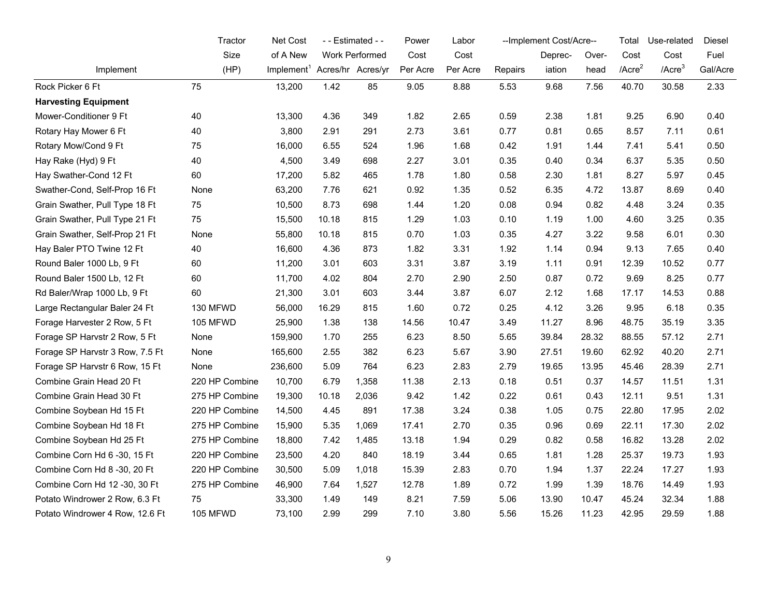|                                 | Tractor        | Net Cost                                 |       | - - Estimated - - | Power    | Labor    |         | --Implement Cost/Acre-- |       | Total        | Use-related  | Diesel   |
|---------------------------------|----------------|------------------------------------------|-------|-------------------|----------|----------|---------|-------------------------|-------|--------------|--------------|----------|
|                                 | Size           | of A New                                 |       | Work Performed    | Cost     | Cost     |         | Deprec-                 | Over- | Cost         | Cost         | Fuel     |
| Implement                       | (HP)           | Implement <sup>1</sup> Acres/hr Acres/yr |       |                   | Per Acre | Per Acre | Repairs | iation                  | head  | $/$ Acre $2$ | $/$ Acre $3$ | Gal/Acre |
| Rock Picker 6 Ft                | 75             | 13,200                                   | 1.42  | 85                | 9.05     | 8.88     | 5.53    | 9.68                    | 7.56  | 40.70        | 30.58        | 2.33     |
| <b>Harvesting Equipment</b>     |                |                                          |       |                   |          |          |         |                         |       |              |              |          |
| Mower-Conditioner 9 Ft          | 40             | 13,300                                   | 4.36  | 349               | 1.82     | 2.65     | 0.59    | 2.38                    | 1.81  | 9.25         | 6.90         | 0.40     |
| Rotary Hay Mower 6 Ft           | 40             | 3,800                                    | 2.91  | 291               | 2.73     | 3.61     | 0.77    | 0.81                    | 0.65  | 8.57         | 7.11         | 0.61     |
| Rotary Mow/Cond 9 Ft            | 75             | 16,000                                   | 6.55  | 524               | 1.96     | 1.68     | 0.42    | 1.91                    | 1.44  | 7.41         | 5.41         | 0.50     |
| Hay Rake (Hyd) 9 Ft             | 40             | 4,500                                    | 3.49  | 698               | 2.27     | 3.01     | 0.35    | 0.40                    | 0.34  | 6.37         | 5.35         | 0.50     |
| Hay Swather-Cond 12 Ft          | 60             | 17,200                                   | 5.82  | 465               | 1.78     | 1.80     | 0.58    | 2.30                    | 1.81  | 8.27         | 5.97         | 0.45     |
| Swather-Cond, Self-Prop 16 Ft   | None           | 63,200                                   | 7.76  | 621               | 0.92     | 1.35     | 0.52    | 6.35                    | 4.72  | 13.87        | 8.69         | 0.40     |
| Grain Swather, Pull Type 18 Ft  | 75             | 10,500                                   | 8.73  | 698               | 1.44     | 1.20     | 0.08    | 0.94                    | 0.82  | 4.48         | 3.24         | 0.35     |
| Grain Swather, Pull Type 21 Ft  | 75             | 15,500                                   | 10.18 | 815               | 1.29     | 1.03     | 0.10    | 1.19                    | 1.00  | 4.60         | 3.25         | 0.35     |
| Grain Swather, Self-Prop 21 Ft  | None           | 55,800                                   | 10.18 | 815               | 0.70     | 1.03     | 0.35    | 4.27                    | 3.22  | 9.58         | 6.01         | 0.30     |
| Hay Baler PTO Twine 12 Ft       | 40             | 16,600                                   | 4.36  | 873               | 1.82     | 3.31     | 1.92    | 1.14                    | 0.94  | 9.13         | 7.65         | 0.40     |
| Round Baler 1000 Lb, 9 Ft       | 60             | 11,200                                   | 3.01  | 603               | 3.31     | 3.87     | 3.19    | 1.11                    | 0.91  | 12.39        | 10.52        | 0.77     |
| Round Baler 1500 Lb, 12 Ft      | 60             | 11,700                                   | 4.02  | 804               | 2.70     | 2.90     | 2.50    | 0.87                    | 0.72  | 9.69         | 8.25         | 0.77     |
| Rd Baler/Wrap 1000 Lb, 9 Ft     | 60             | 21,300                                   | 3.01  | 603               | 3.44     | 3.87     | 6.07    | 2.12                    | 1.68  | 17.17        | 14.53        | 0.88     |
| Large Rectangular Baler 24 Ft   | 130 MFWD       | 56,000                                   | 16.29 | 815               | 1.60     | 0.72     | 0.25    | 4.12                    | 3.26  | 9.95         | 6.18         | 0.35     |
| Forage Harvester 2 Row, 5 Ft    | 105 MFWD       | 25,900                                   | 1.38  | 138               | 14.56    | 10.47    | 3.49    | 11.27                   | 8.96  | 48.75        | 35.19        | 3.35     |
| Forage SP Harvstr 2 Row, 5 Ft   | None           | 159,900                                  | 1.70  | 255               | 6.23     | 8.50     | 5.65    | 39.84                   | 28.32 | 88.55        | 57.12        | 2.71     |
| Forage SP Harvstr 3 Row, 7.5 Ft | None           | 165,600                                  | 2.55  | 382               | 6.23     | 5.67     | 3.90    | 27.51                   | 19.60 | 62.92        | 40.20        | 2.71     |
| Forage SP Harvstr 6 Row, 15 Ft  | None           | 236,600                                  | 5.09  | 764               | 6.23     | 2.83     | 2.79    | 19.65                   | 13.95 | 45.46        | 28.39        | 2.71     |
| Combine Grain Head 20 Ft        | 220 HP Combine | 10,700                                   | 6.79  | 1,358             | 11.38    | 2.13     | 0.18    | 0.51                    | 0.37  | 14.57        | 11.51        | 1.31     |
| Combine Grain Head 30 Ft        | 275 HP Combine | 19,300                                   | 10.18 | 2,036             | 9.42     | 1.42     | 0.22    | 0.61                    | 0.43  | 12.11        | 9.51         | 1.31     |
| Combine Soybean Hd 15 Ft        | 220 HP Combine | 14,500                                   | 4.45  | 891               | 17.38    | 3.24     | 0.38    | 1.05                    | 0.75  | 22.80        | 17.95        | 2.02     |
| Combine Soybean Hd 18 Ft        | 275 HP Combine | 15,900                                   | 5.35  | 1,069             | 17.41    | 2.70     | 0.35    | 0.96                    | 0.69  | 22.11        | 17.30        | 2.02     |
| Combine Soybean Hd 25 Ft        | 275 HP Combine | 18,800                                   | 7.42  | 1,485             | 13.18    | 1.94     | 0.29    | 0.82                    | 0.58  | 16.82        | 13.28        | 2.02     |
| Combine Corn Hd 6 -30, 15 Ft    | 220 HP Combine | 23,500                                   | 4.20  | 840               | 18.19    | 3.44     | 0.65    | 1.81                    | 1.28  | 25.37        | 19.73        | 1.93     |
| Combine Corn Hd 8 -30, 20 Ft    | 220 HP Combine | 30,500                                   | 5.09  | 1,018             | 15.39    | 2.83     | 0.70    | 1.94                    | 1.37  | 22.24        | 17.27        | 1.93     |
| Combine Corn Hd 12 -30, 30 Ft   | 275 HP Combine | 46,900                                   | 7.64  | 1,527             | 12.78    | 1.89     | 0.72    | 1.99                    | 1.39  | 18.76        | 14.49        | 1.93     |
| Potato Windrower 2 Row, 6.3 Ft  | 75             | 33,300                                   | 1.49  | 149               | 8.21     | 7.59     | 5.06    | 13.90                   | 10.47 | 45.24        | 32.34        | 1.88     |
| Potato Windrower 4 Row, 12.6 Ft | 105 MFWD       | 73,100                                   | 2.99  | 299               | 7.10     | 3.80     | 5.56    | 15.26                   | 11.23 | 42.95        | 29.59        | 1.88     |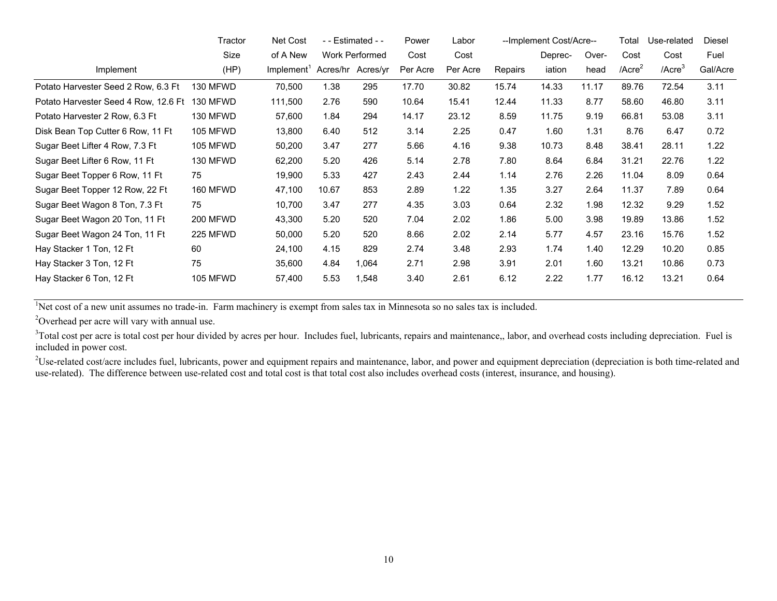|                                      | Tractor         | Net Cost               |       | - - Estimated - - | Power    | Labor    |         | --Implement Cost/Acre-- |       | Total        | Use-related  | Diesel   |
|--------------------------------------|-----------------|------------------------|-------|-------------------|----------|----------|---------|-------------------------|-------|--------------|--------------|----------|
|                                      | Size            | of A New               |       | Work Performed    | Cost     | Cost     |         | Deprec-                 | Over- | Cost         | Cost         | Fuel     |
| Implement                            | (HP)            | Implement <sup>1</sup> |       | Acres/hr Acres/yr | Per Acre | Per Acre | Repairs | iation                  | head  | $/$ Acre $2$ | $/$ Acre $3$ | Gal/Acre |
| Potato Harvester Seed 2 Row, 6.3 Ft  | 130 MFWD        | 70,500                 | 1.38  | 295               | 17.70    | 30.82    | 15.74   | 14.33                   | 11.17 | 89.76        | 72.54        | 3.11     |
| Potato Harvester Seed 4 Row, 12.6 Ft | 130 MFWD        | 111,500                | 2.76  | 590               | 10.64    | 15.41    | 12.44   | 11.33                   | 8.77  | 58.60        | 46.80        | 3.11     |
| Potato Harvester 2 Row, 6.3 Ft       | 130 MFWD        | 57,600                 | 1.84  | 294               | 14.17    | 23.12    | 8.59    | 11.75                   | 9.19  | 66.81        | 53.08        | 3.11     |
| Disk Bean Top Cutter 6 Row, 11 Ft    | <b>105 MFWD</b> | 13,800                 | 6.40  | 512               | 3.14     | 2.25     | 0.47    | 1.60                    | 1.31  | 8.76         | 6.47         | 0.72     |
| Sugar Beet Lifter 4 Row, 7.3 Ft      | 105 MFWD        | 50,200                 | 3.47  | 277               | 5.66     | 4.16     | 9.38    | 10.73                   | 8.48  | 38.41        | 28.11        | 1.22     |
| Sugar Beet Lifter 6 Row, 11 Ft       | 130 MFWD        | 62,200                 | 5.20  | 426               | 5.14     | 2.78     | 7.80    | 8.64                    | 6.84  | 31.21        | 22.76        | 1.22     |
| Sugar Beet Topper 6 Row, 11 Ft       | 75              | 19,900                 | 5.33  | 427               | 2.43     | 2.44     | 1.14    | 2.76                    | 2.26  | 11.04        | 8.09         | 0.64     |
| Sugar Beet Topper 12 Row, 22 Ft      | 160 MFWD        | 47,100                 | 10.67 | 853               | 2.89     | 1.22     | 1.35    | 3.27                    | 2.64  | 11.37        | 7.89         | 0.64     |
| Sugar Beet Wagon 8 Ton, 7.3 Ft       | 75              | 10,700                 | 3.47  | 277               | 4.35     | 3.03     | 0.64    | 2.32                    | 1.98  | 12.32        | 9.29         | 1.52     |
| Sugar Beet Wagon 20 Ton, 11 Ft       | <b>200 MFWD</b> | 43,300                 | 5.20  | 520               | 7.04     | 2.02     | 1.86    | 5.00                    | 3.98  | 19.89        | 13.86        | 1.52     |
| Sugar Beet Wagon 24 Ton, 11 Ft       | 225 MFWD        | 50,000                 | 5.20  | 520               | 8.66     | 2.02     | 2.14    | 5.77                    | 4.57  | 23.16        | 15.76        | 1.52     |
| Hay Stacker 1 Ton, 12 Ft             | 60              | 24,100                 | 4.15  | 829               | 2.74     | 3.48     | 2.93    | 1.74                    | 1.40  | 12.29        | 10.20        | 0.85     |
| Hay Stacker 3 Ton, 12 Ft             | 75              | 35,600                 | 4.84  | 1,064             | 2.71     | 2.98     | 3.91    | 2.01                    | 1.60  | 13.21        | 10.86        | 0.73     |
| Hay Stacker 6 Ton, 12 Ft             | <b>105 MFWD</b> | 57,400                 | 5.53  | 1,548             | 3.40     | 2.61     | 6.12    | 2.22                    | 1.77  | 16.12        | 13.21        | 0.64     |

<sup>1</sup>Net cost of a new unit assumes no trade-in. Farm machinery is exempt from sales tax in Minnesota so no sales tax is included.

<sup>2</sup>Overhead per acre will vary with annual use.

<sup>3</sup>Total cost per acre is total cost per hour divided by acres per hour. Includes fuel, lubricants, repairs and maintenance,, labor, and overhead costs including depreciation. Fuel is included in power cost.

 $2^2$ Use-related cost/acre includes fuel, lubricants, power and equipment repairs and maintenance, labor, and power and equipment depreciation (depreciation is both time-related and use-related). The difference between use-related cost and total cost is that total cost also includes overhead costs (interest, insurance, and housing).